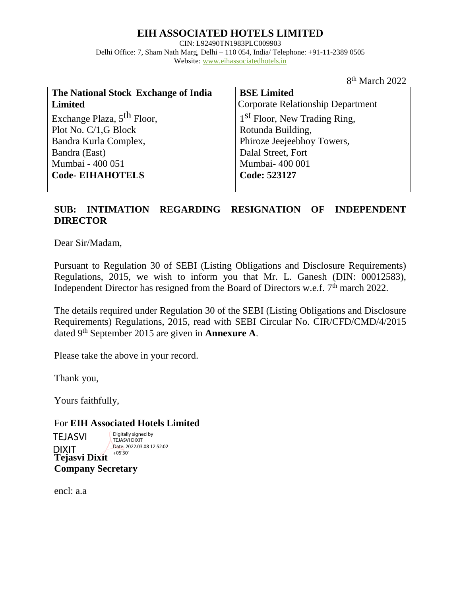# **EIH ASSOCIATED HOTELS LIMITED**

CIN: L92490TN1983PLC009903 Delhi Office: 7, Sham Nath Marg, Delhi – 110 054, India/ Telephone: +91-11-2389 0505 Website: [www.eihassociatedhotels.in](http://www.eihassociatedhotels.in/)

8 th March 2022

| The National Stock Exchange of India   | <b>BSE Limited</b>                       |
|----------------------------------------|------------------------------------------|
| <b>Limited</b>                         | <b>Corporate Relationship Department</b> |
| Exchange Plaza, 5 <sup>th</sup> Floor, | 1 <sup>st</sup> Floor, New Trading Ring, |
| Plot No. C/1,G Block                   | Rotunda Building,                        |
| Bandra Kurla Complex,                  | Phiroze Jeejeebhoy Towers,               |
| Bandra (East)                          | Dalal Street, Fort                       |
| Mumbai - 400 051                       | Mumbai- 400 001                          |
| <b>Code-EIHAHOTELS</b>                 | Code: 523127                             |
|                                        |                                          |

#### **SUB: INTIMATION REGARDING RESIGNATION OF INDEPENDENT DIRECTOR**

Dear Sir/Madam,

Pursuant to Regulation 30 of SEBI (Listing Obligations and Disclosure Requirements) Regulations, 2015, we wish to inform you that Mr. L. Ganesh (DIN: 00012583), Independent Director has resigned from the Board of Directors w.e.f.  $7<sup>th</sup>$  march 2022.

The details required under Regulation 30 of the SEBI (Listing Obligations and Disclosure Requirements) Regulations, 2015, read with SEBI Circular No. CIR/CFD/CMD/4/2015 dated 9th September 2015 are given in **Annexure A**.

Please take the above in your record.

Thank you,

Yours faithfully,

For **EIH Associated Hotels Limited**

**Tejasvi Dixit Company Secretary** TEJASVI DIXIT Digitally signed by TEJASVI DIXIT Date: 2022.03.08 12:52:02 +05'30'

encl: a.a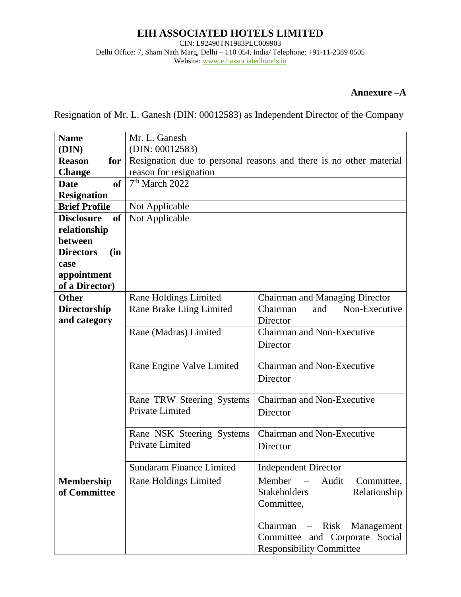# **EIH ASSOCIATED HOTELS LIMITED**

CIN: L92490TN1983PLC009903 Delhi Office: 7, Sham Nath Marg, Delhi – 110 054, India/ Telephone: +91-11-2389 0505 Website: [www.eihassociatedhotels.in](http://www.eihassociatedhotels.in/)

#### **Annexure –A**

Resignation of Mr. L. Ganesh (DIN: 00012583) as Independent Director of the Company

| <b>Name</b>              | Mr. L. Ganesh                                |                                                                    |
|--------------------------|----------------------------------------------|--------------------------------------------------------------------|
| (DIN)                    | (DIN: 00012583)                              |                                                                    |
| <b>Reason</b><br>for     |                                              | Resignation due to personal reasons and there is no other material |
| <b>Change</b>            | reason for resignation                       |                                                                    |
| <b>of</b><br><b>Date</b> | 7 <sup>th</sup> March 2022                   |                                                                    |
| <b>Resignation</b>       |                                              |                                                                    |
| <b>Brief Profile</b>     | Not Applicable                               |                                                                    |
| of<br><b>Disclosure</b>  | Not Applicable                               |                                                                    |
| relationship             |                                              |                                                                    |
| between                  |                                              |                                                                    |
| <b>Directors</b><br>(in  |                                              |                                                                    |
| case                     |                                              |                                                                    |
| appointment              |                                              |                                                                    |
| of a Director)           |                                              |                                                                    |
| <b>Other</b>             | <b>Rane Holdings Limited</b>                 | Chairman and Managing Director                                     |
| Directorship             | Rane Brake Liing Limited                     | Chairman<br>Non-Executive<br>and                                   |
| and category             |                                              | Director                                                           |
|                          | Rane (Madras) Limited                        | Chairman and Non-Executive                                         |
|                          |                                              | Director                                                           |
|                          |                                              |                                                                    |
|                          | Rane Engine Valve Limited                    | Chairman and Non-Executive                                         |
|                          |                                              | Director                                                           |
|                          |                                              |                                                                    |
|                          | Rane TRW Steering Systems<br>Private Limited | Chairman and Non-Executive                                         |
|                          |                                              | Director                                                           |
|                          | Rane NSK Steering Systems                    | Chairman and Non-Executive                                         |
|                          | Private Limited                              | Director                                                           |
|                          |                                              |                                                                    |
|                          | <b>Sundaram Finance Limited</b>              | <b>Independent Director</b>                                        |
| <b>Membership</b>        | <b>Rane Holdings Limited</b>                 | Audit<br>Committee,<br>Member<br>$\overline{\phantom{m}}$          |
| of Committee             |                                              | <b>Stakeholders</b><br>Relationship                                |
|                          |                                              | Committee,                                                         |
|                          |                                              |                                                                    |
|                          |                                              | Chairman – Risk<br>Management                                      |
|                          |                                              | Committee and Corporate Social                                     |
|                          |                                              | <b>Responsibility Committee</b>                                    |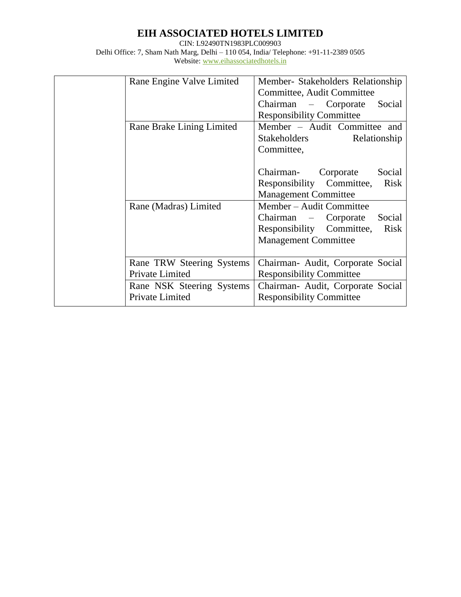# **EIH ASSOCIATED HOTELS LIMITED**

CIN: L92490TN1983PLC009903 Delhi Office: 7, Sham Nath Marg, Delhi – 110 054, India/ Telephone: +91-11-2389 0505 Website: [www.eihassociatedhotels.in](http://www.eihassociatedhotels.in/)

| Rane Engine Valve Limited | Member- Stakeholders Relationship<br>Committee, Audit Committee |
|---------------------------|-----------------------------------------------------------------|
|                           | Chairman - Corporate Social                                     |
|                           | <b>Responsibility Committee</b>                                 |
| Rane Brake Lining Limited | Member - Audit Committee and                                    |
|                           | Stakeholders Relationship                                       |
|                           | Committee,                                                      |
|                           |                                                                 |
|                           | Chairman- Corporate<br>Social                                   |
|                           | <b>Risk</b><br>Responsibility Committee,                        |
|                           | <b>Management Committee</b>                                     |
| Rane (Madras) Limited     | Member – Audit Committee                                        |
|                           | Social<br>Chairman – Corporate                                  |
|                           | Responsibility Committee,<br><b>Risk</b>                        |
|                           | <b>Management Committee</b>                                     |
|                           |                                                                 |
| Rane TRW Steering Systems | Chairman- Audit, Corporate Social                               |
| Private Limited           | <b>Responsibility Committee</b>                                 |
| Rane NSK Steering Systems | Chairman- Audit, Corporate Social                               |
| Private Limited           | <b>Responsibility Committee</b>                                 |
|                           |                                                                 |